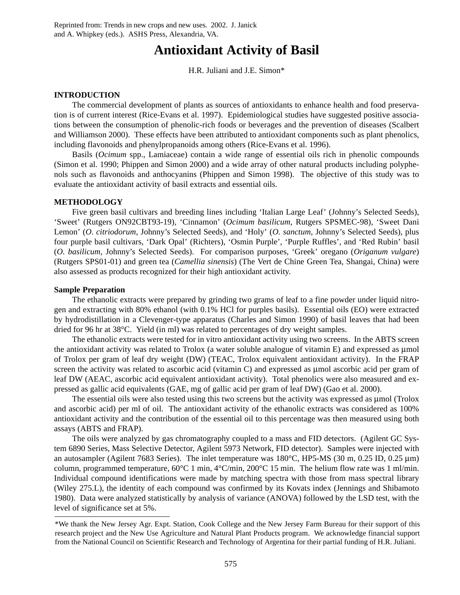# **Antioxidant Activity of Basil**

H.R. Juliani and J.E. Simon\*

## **INTRODUCTION**

The commercial development of plants as sources of antioxidants to enhance health and food preservation is of current interest (Rice-Evans et al. 1997). Epidemiological studies have suggested positive associations between the consumption of phenolic-rich foods or beverages and the prevention of diseases (Scalbert and Williamson 2000). These effects have been attributed to antioxidant components such as plant phenolics, including flavonoids and phenylpropanoids among others (Rice-Evans et al. 1996).

Basils (*Ocimum* spp., Lamiaceae) contain a wide range of essential oils rich in phenolic compounds (Simon et al. 1990; Phippen and Simon 2000) and a wide array of other natural products including polyphenols such as flavonoids and anthocyanins (Phippen and Simon 1998). The objective of this study was to evaluate the antioxidant activity of basil extracts and essential oils.

# **METHODOLOGY**

Five green basil cultivars and breeding lines including 'Italian Large Leaf' (Johnny's Selected Seeds), 'Sweet' (Rutgers ON92CBT93-19), 'Cinnamon' (*Ocimum basilicum*, Rutgers SPSMEC-98), 'Sweet Dani Lemon' (*O. citriodorum*, Johnny's Selected Seeds), and 'Holy' (*O. sanctum*, Johnny's Selected Seeds), plus four purple basil cultivars, 'Dark Opal' (Richters), 'Osmin Purple', 'Purple Ruffles', and 'Red Rubin' basil (*O. basilicum*, Johnny's Selected Seeds). For comparison purposes, 'Greek' oregano (*Origanum vulgare*) (Rutgers SPS01-01) and green tea (*Camellia sinensis*) (The Vert de Chine Green Tea, Shangai, China) were also assessed as products recognized for their high antioxidant activity.

## **Sample Preparation**

The ethanolic extracts were prepared by grinding two grams of leaf to a fine powder under liquid nitrogen and extracting with 80% ethanol (with 0.1% HCl for purples basils). Essential oils (EO) were extracted by hydrodistillation in a Clevenger-type apparatus (Charles and Simon 1990) of basil leaves that had been dried for 96 hr at 38°C. Yield (in ml) was related to percentages of dry weight samples.

The ethanolic extracts were tested for in vitro antioxidant activity using two screens. In the ABTS screen the antioxidant activity was related to Trolox (a water soluble analogue of vitamin E) and expressed as µmol of Trolox per gram of leaf dry weight (DW) (TEAC, Trolox equivalent antioxidant activity). In the FRAP screen the activity was related to ascorbic acid (vitamin C) and expressed as µmol ascorbic acid per gram of leaf DW (AEAC, ascorbic acid equivalent antioxidant activity). Total phenolics were also measured and expressed as gallic acid equivalents (GAE, mg of gallic acid per gram of leaf DW) (Gao et al. 2000).

The essential oils were also tested using this two screens but the activity was expressed as  $\mu$ mol (Trolox and ascorbic acid) per ml of oil. The antioxidant activity of the ethanolic extracts was considered as 100% antioxidant activity and the contribution of the essential oil to this percentage was then measured using both assays (ABTS and FRAP).

The oils were analyzed by gas chromatography coupled to a mass and FID detectors. (Agilent GC System 6890 Series, Mass Selective Detector, Agilent 5973 Network, FID detector). Samples were injected with an autosampler (Agilent 7683 Series). The inlet temperature was 180°C, HP5-MS (30 m, 0.25 ID, 0.25 µm) column, programmed temperature, 60°C 1 min, 4°C/min, 200°C 15 min. The helium flow rate was 1 ml/min. Individual compound identifications were made by matching spectra with those from mass spectral library (Wiley 275.L), the identity of each compound was confirmed by its Kovats index (Jennings and Shibamoto 1980). Data were analyzed statistically by analysis of variance (ANOVA) followed by the LSD test, with the level of significance set at 5%.

<sup>\*</sup>We thank the New Jersey Agr. Expt. Station, Cook College and the New Jersey Farm Bureau for their support of this research project and the New Use Agriculture and Natural Plant Products program. We acknowledge financial support from the National Council on Scientific Research and Technology of Argentina for their partial funding of H.R. Juliani.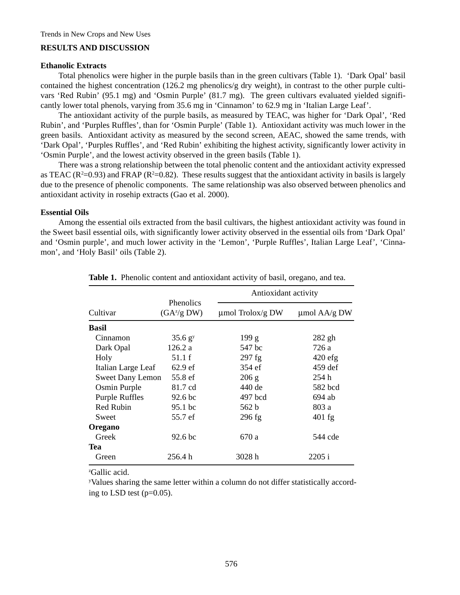# **RESULTS AND DISCUSSION**

#### **Ethanolic Extracts**

Total phenolics were higher in the purple basils than in the green cultivars (Table 1). 'Dark Opal' basil contained the highest concentration (126.2 mg phenolics/g dry weight), in contrast to the other purple cultivars 'Red Rubin' (95.1 mg) and 'Osmin Purple' (81.7 mg). The green cultivars evaluated yielded significantly lower total phenols, varying from 35.6 mg in 'Cinnamon' to 62.9 mg in 'Italian Large Leaf'.

The antioxidant activity of the purple basils, as measured by TEAC, was higher for 'Dark Opal', 'Red Rubin', and 'Purples Ruffles', than for 'Osmin Purple' (Table 1). Antioxidant activity was much lower in the green basils. Antioxidant activity as measured by the second screen, AEAC, showed the same trends, with 'Dark Opal', 'Purples Ruffles', and 'Red Rubin' exhibiting the highest activity, significantly lower activity in 'Osmin Purple', and the lowest activity observed in the green basils (Table 1).

There was a strong relationship between the total phenolic content and the antioxidant activity expressed as TEAC ( $R^2=0.93$ ) and FRAP ( $R^2=0.82$ ). These results suggest that the antioxidant activity in basils is largely due to the presence of phenolic components. The same relationship was also observed between phenolics and antioxidant activity in rosehip extracts (Gao et al. 2000).

#### **Essential Oils**

Among the essential oils extracted from the basil cultivars, the highest antioxidant activity was found in the Sweet basil essential oils, with significantly lower activity observed in the essential oils from 'Dark Opal' and 'Osmin purple', and much lower activity in the 'Lemon', 'Purple Ruffles', Italian Large Leaf', 'Cinnamon', and 'Holy Basil' oils (Table 2).

|                         |                                   | Antioxidant activity  |                   |  |  |
|-------------------------|-----------------------------------|-----------------------|-------------------|--|--|
| Cultivar                | <b>Phenolics</b><br>$(GA^z/g DW)$ | $\mu$ mol Trolox/g DW | $\mu$ mol AA/g DW |  |  |
| <b>Basil</b>            |                                   |                       |                   |  |  |
| Cinnamon                | 35.6 g <sup>y</sup>               | 199 g                 | $282$ gh          |  |  |
| Dark Opal               | 126.2 a                           | 547 bc                | 726 a             |  |  |
| Holy                    | 51.1 f                            | $297$ fg              | $420$ efg         |  |  |
| Italian Large Leaf      | 62.9 <sub>ef</sub>                | 354 ef                | $459$ def         |  |  |
| <b>Sweet Dany Lemon</b> | 55.8 ef                           | 206 g                 | 254 h             |  |  |
| Osmin Purple            | 81.7 cd                           | 440 de                | 582 bcd           |  |  |
| <b>Purple Ruffles</b>   | 92.6 bc                           | 497 bcd               | 694 ab            |  |  |
| Red Rubin               | 95.1 bc                           | 562 b                 | 803 a             |  |  |
| Sweet                   | 55.7 ef                           | $296$ fg              | $401$ fg          |  |  |
| Oregano                 |                                   |                       |                   |  |  |
| Greek                   | 92.6 <sub>bc</sub>                | 670 a                 | 544 cde           |  |  |
| Tea                     |                                   |                       |                   |  |  |
| Green                   | 256.4 h                           | 3028 h                | 2205 i            |  |  |

Table 1. Phenolic content and antioxidant activity of basil, oregano, and tea.

z Gallic acid.

y Values sharing the same letter within a column do not differ statistically according to LSD test  $(p=0.05)$ .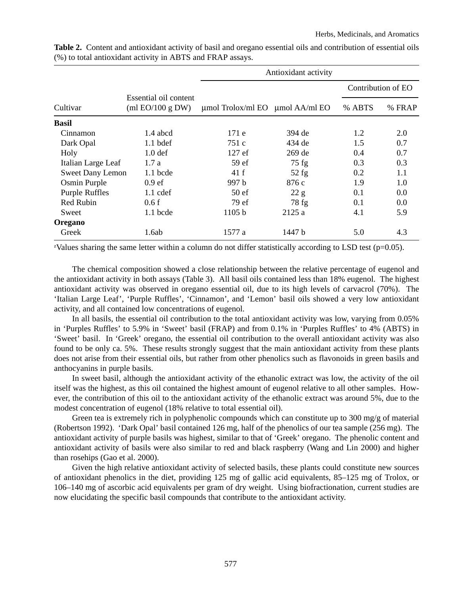|                         |                                      | Antioxidant activity                      |          |                    |        |  |  |
|-------------------------|--------------------------------------|-------------------------------------------|----------|--------------------|--------|--|--|
|                         |                                      |                                           |          | Contribution of EO |        |  |  |
| Cultivar                | Essential oil content<br>mEO/100 gDW | $\mu$ mol Trolox/ml EO $\mu$ mol AA/ml EO |          | % ABTS             | % FRAP |  |  |
| <b>Basil</b>            |                                      |                                           |          |                    |        |  |  |
| Cinnamon                | 1.4 abcd                             | 171e                                      | 394 de   | 1.2                | 2.0    |  |  |
| Dark Opal               | $1.1$ bdef                           | 751 c                                     | 434 de   | 1.5                | 0.7    |  |  |
| Holy                    | 1.0 <sub>def</sub>                   | $127 \text{ ef}$                          | $269$ de | 0.4                | 0.7    |  |  |
| Italian Large Leaf      | 1.7a                                 | 59 ef                                     | $75$ fg  | 0.3                | 0.3    |  |  |
| <b>Sweet Dany Lemon</b> | $1.1$ bcde                           | 41 f                                      | $52$ fg  | 0.2                | 1.1    |  |  |
| Osmin Purple            | 0.9 <sub>ef</sub>                    | 997 b                                     | 876 c    | 1.9                | 1.0    |  |  |
| <b>Purple Ruffles</b>   | $1.1$ cdef                           | 50 <sub>ef</sub>                          | 22 g     | 0.1                | 0.0    |  |  |
| <b>Red Rubin</b>        | 0.6f                                 | 79 ef                                     | $78$ fg  | 0.1                | 0.0    |  |  |
| Sweet                   | $1.1$ bcde                           | 1105 b                                    | 2125a    | 4.1                | 5.9    |  |  |
| Oregano                 |                                      |                                           |          |                    |        |  |  |
| Greek                   | 1.6ab                                | 1577 a                                    | 1447 b   | 5.0                | 4.3    |  |  |

**Table 2.** Content and antioxidant activity of basil and oregano essential oils and contribution of essential oils (%) to total antioxidant activity in ABTS and FRAP assays.

<sup>z</sup>Values sharing the same letter within a column do not differ statistically according to LSD test (p=0.05).

The chemical composition showed a close relationship between the relative percentage of eugenol and the antioxidant activity in both assays (Table 3). All basil oils contained less than 18% eugenol. The highest antioxidant activity was observed in oregano essential oil, due to its high levels of carvacrol (70%). The 'Italian Large Leaf', 'Purple Ruffles', 'Cinnamon', and 'Lemon' basil oils showed a very low antioxidant activity, and all contained low concentrations of eugenol.

In all basils, the essential oil contribution to the total antioxidant activity was low, varying from 0.05% in 'Purples Ruffles' to 5.9% in 'Sweet' basil (FRAP) and from 0.1% in 'Purples Ruffles' to 4% (ABTS) in 'Sweet' basil. In 'Greek' oregano, the essential oil contribution to the overall antioxidant activity was also found to be only ca. 5%. These results strongly suggest that the main antioxidant activity from these plants does not arise from their essential oils, but rather from other phenolics such as flavonoids in green basils and anthocyanins in purple basils.

In sweet basil, although the antioxidant activity of the ethanolic extract was low, the activity of the oil itself was the highest, as this oil contained the highest amount of eugenol relative to all other samples. However, the contribution of this oil to the antioxidant activity of the ethanolic extract was around 5%, due to the modest concentration of eugenol (18% relative to total essential oil).

Green tea is extremely rich in polyphenolic compounds which can constitute up to 300 mg/g of material (Robertson 1992). 'Dark Opal' basil contained 126 mg, half of the phenolics of our tea sample (256 mg). The antioxidant activity of purple basils was highest, similar to that of 'Greek' oregano. The phenolic content and antioxidant activity of basils were also similar to red and black raspberry (Wang and Lin 2000) and higher than rosehips (Gao et al. 2000).

Given the high relative antioxidant activity of selected basils, these plants could constitute new sources of antioxidant phenolics in the diet, providing 125 mg of gallic acid equivalents, 85–125 mg of Trolox, or 106–140 mg of ascorbic acid equivalents per gram of dry weight. Using biofractionation, current studies are now elucidating the specific basil compounds that contribute to the antioxidant activity.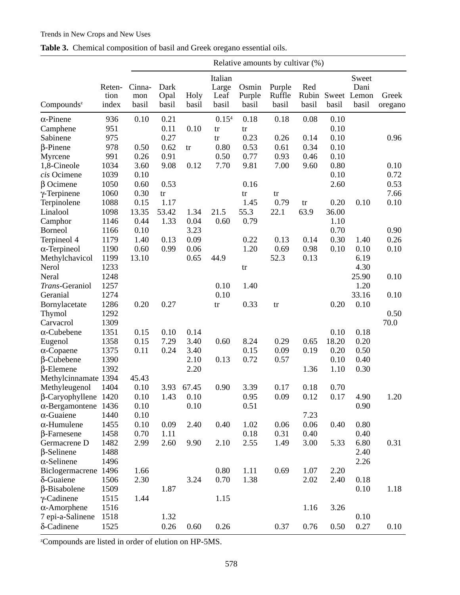# Trends in New Crops and New Uses

|                             |                         | Relative amounts by cultivar (%) |                       |               |                                   |                          |                           |                       |       |                                       |                  |
|-----------------------------|-------------------------|----------------------------------|-----------------------|---------------|-----------------------------------|--------------------------|---------------------------|-----------------------|-------|---------------------------------------|------------------|
| Compounds <sup>z</sup>      | Reten-<br>tion<br>index | Cinna-<br>mon<br>basil           | Dark<br>Opal<br>basil | Holy<br>basil | Italian<br>Large<br>Leaf<br>basil | Osmin<br>Purple<br>basil | Purple<br>Ruffle<br>basil | Red<br>Rubin<br>basil | basil | Sweet<br>Dani<br>Sweet Lemon<br>basil | Greek<br>oregano |
| $\alpha$ -Pinene            | 936                     | 0.10                             | 0.21                  |               | $0.15^{4}$                        | 0.18                     | 0.18                      | 0.08                  | 0.10  |                                       |                  |
| Camphene                    | 951                     |                                  | 0.11                  | 0.10          | tr                                | tr                       |                           |                       | 0.10  |                                       |                  |
| Sabinene                    | 975                     |                                  | 0.27                  |               | tr                                | 0.23                     | 0.26                      | 0.14                  | 0.10  |                                       | 0.96             |
| $\beta$ -Pinene             | 978                     | 0.50                             | 0.62                  | tr            | 0.80                              | 0.53                     | 0.61                      | 0.34                  | 0.10  |                                       |                  |
| Myrcene                     | 991                     | 0.26                             | 0.91                  |               | 0.50                              | 0.77                     | 0.93                      | 0.46                  | 0.10  |                                       |                  |
| 1,8-Cineole                 | 1034                    | 3.60                             | 9.08                  | 0.12          | 7.70                              | 9.81                     | 7.00                      | 9.60                  | 0.80  |                                       | 0.10             |
| cis Ocimene                 | 1039                    | 0.10                             |                       |               |                                   |                          |                           |                       | 0.10  |                                       | 0.72             |
| $\beta$ Ocimene             | 1050                    | 0.60                             | 0.53                  |               |                                   | 0.16                     |                           |                       | 2.60  |                                       | 0.53             |
| $\gamma$ -Terpinene         | 1060                    | 0.30                             | tr                    |               |                                   | tr                       | tr                        |                       |       |                                       | 7.66             |
| Terpinolene                 | 1088                    | 0.15                             | 1.17                  |               |                                   | 1.45                     | 0.79                      | tr                    | 0.20  | 0.10                                  | 0.10             |
| Linalool                    | 1098                    | 13.35                            | 53.42                 | 1.34          | 21.5                              | 55.3                     | 22.1                      | 63.9                  | 36.00 |                                       |                  |
| Camphor                     | 1146                    | 0.44                             | 1.33                  | 0.04          | 0.60                              | 0.79                     |                           |                       | 1.10  |                                       |                  |
| <b>Borneol</b>              | 1166                    | 0.10                             |                       | 3.23          |                                   |                          |                           |                       | 0.70  |                                       | 0.90             |
| Terpineol 4                 | 1179                    | 1.40                             | 0.13                  | 0.09          |                                   | 0.22                     | 0.13                      | 0.14                  | 0.30  | 1.40                                  | 0.26             |
| $\alpha$ -Terpineol         | 1190                    | 0.60                             | 0.99                  | 0.06          |                                   | 1.20                     | 0.69                      | 0.98                  | 0.10  | 0.10                                  | 0.10             |
| Methylchavicol              | 1199                    | 13.10                            |                       | 0.65          | 44.9                              |                          | 52.3                      | 0.13                  |       | 6.19                                  |                  |
| Nerol                       | 1233                    |                                  |                       |               |                                   | tr                       |                           |                       |       | 4.30                                  |                  |
| Neral                       | 1248                    |                                  |                       |               |                                   |                          |                           |                       |       | 25.90                                 | 0.10             |
| Trans-Geraniol              | 1257                    |                                  |                       |               | 0.10                              | 1.40                     |                           |                       |       | 1.20                                  |                  |
| Geranial                    | 1274                    |                                  |                       |               | 0.10                              |                          |                           |                       |       | 33.16                                 | 0.10             |
| Bornylacetate               | 1286                    | 0.20                             | 0.27                  |               | tr                                | 0.33                     | tr                        |                       | 0.20  | 0.10                                  |                  |
| Thymol                      | 1292                    |                                  |                       |               |                                   |                          |                           |                       |       |                                       | 0.50             |
| Carvacrol                   | 1309                    |                                  |                       |               |                                   |                          |                           |                       |       |                                       | 70.0             |
| $\alpha$ -Cubebene          | 1351                    | 0.15                             | 0.10                  | 0.14          |                                   |                          |                           |                       | 0.10  | 0.18                                  |                  |
| Eugenol                     | 1358                    | 0.15                             | 7.29                  | 3.40          | 0.60                              | 8.24                     | 0.29                      | 0.65                  | 18.20 | 0.20                                  |                  |
| $\alpha$ -Copaene           | 1375                    | 0.11                             | 0.24                  | 3.40          |                                   | 0.15                     | 0.09                      | 0.19                  | 0.20  | 0.50                                  |                  |
| $\beta$ -Cubebene           | 1390                    |                                  |                       | 2.10          | 0.13                              | 0.72                     | 0.57                      |                       | 0.10  | 0.40                                  |                  |
| $\beta$ -Elemene            | 1392                    |                                  |                       | 2.20          |                                   |                          |                           | 1.36                  | 1.10  | 0.30                                  |                  |
| Methylcinnamate 1394        |                         | 45.43                            |                       |               |                                   |                          |                           |                       |       |                                       |                  |
| Methyleugenol               | 1404                    | 0.10                             | 3.93                  | 67.45         | 0.90                              | 3.39                     | 0.17                      | 0.18                  | 0.70  |                                       |                  |
| $\beta$ -Caryophyllene 1420 |                         | 0.10                             | 1.43                  | 0.10          |                                   | 0.95                     | 0.09                      | 0.12                  | 0.17  | 4.90                                  | 1.20             |
| $\alpha$ -Bergamontene 1436 |                         | 0.10                             |                       | 0.10          |                                   | 0.51                     |                           |                       |       | 0.90                                  |                  |
| $\alpha$ -Guaiene           | 1440                    | 0.10                             |                       |               |                                   |                          |                           | 7.23                  |       |                                       |                  |
| $\alpha$ -Humulene          | 1455                    | 0.10                             | 0.09                  | 2.40          | 0.40                              | 1.02                     | 0.06                      | 0.06                  | 0.40  | 0.80                                  |                  |
| $\beta$ -Farnesene          | 1458                    | 0.70                             | 1.11                  |               |                                   | 0.18                     | 0.31                      | 0.40                  |       | 0.40                                  |                  |
| Germacrene D                | 1482                    | 2.99                             | 2.60                  | 9.90          | 2.10                              | 2.55                     | 1.49                      | 3.00                  | 5.33  | 6.80                                  | 0.31             |
| $\beta$ -Selinene           | 1488                    |                                  |                       |               |                                   |                          |                           |                       |       | 2.40                                  |                  |
| $\alpha$ -Selinene          | 1496                    |                                  |                       |               |                                   |                          |                           |                       |       | 2.26                                  |                  |
| Biclogermacrene             | 1496                    | 1.66                             |                       |               | 0.80                              | 1.11                     | 0.69                      | 1.07                  | 2.20  |                                       |                  |
| δ-Guaiene                   | 1506                    | 2.30                             |                       | 3.24          | 0.70                              | 1.38                     |                           | 2.02                  | 2.40  | 0.18                                  |                  |
| $\beta$ -Bisabolene         | 1509                    |                                  | 1.87                  |               |                                   |                          |                           |                       |       | 0.10                                  | 1.18             |
| $\gamma$ -Cadinene          | 1515                    | 1.44                             |                       |               | 1.15                              |                          |                           |                       |       |                                       |                  |
| $\alpha$ -Amorphene         | 1516                    |                                  |                       |               |                                   |                          |                           | 1.16                  | 3.26  |                                       |                  |
| 7 epi-a-Salinene            | 1518                    |                                  | 1.32                  |               |                                   |                          |                           |                       |       | 0.10                                  |                  |
| δ-Cadinene                  | 1525                    |                                  | 0.26                  | 0.60          | 0.26                              |                          | 0.37                      | 0.76                  | 0.50  | 0.27                                  | 0.10             |

|  |  | Table 3. Chemical composition of basil and Greek oregano essential oils. |  |
|--|--|--------------------------------------------------------------------------|--|
|  |  |                                                                          |  |

z Compounds are listed in order of elution on HP-5MS.